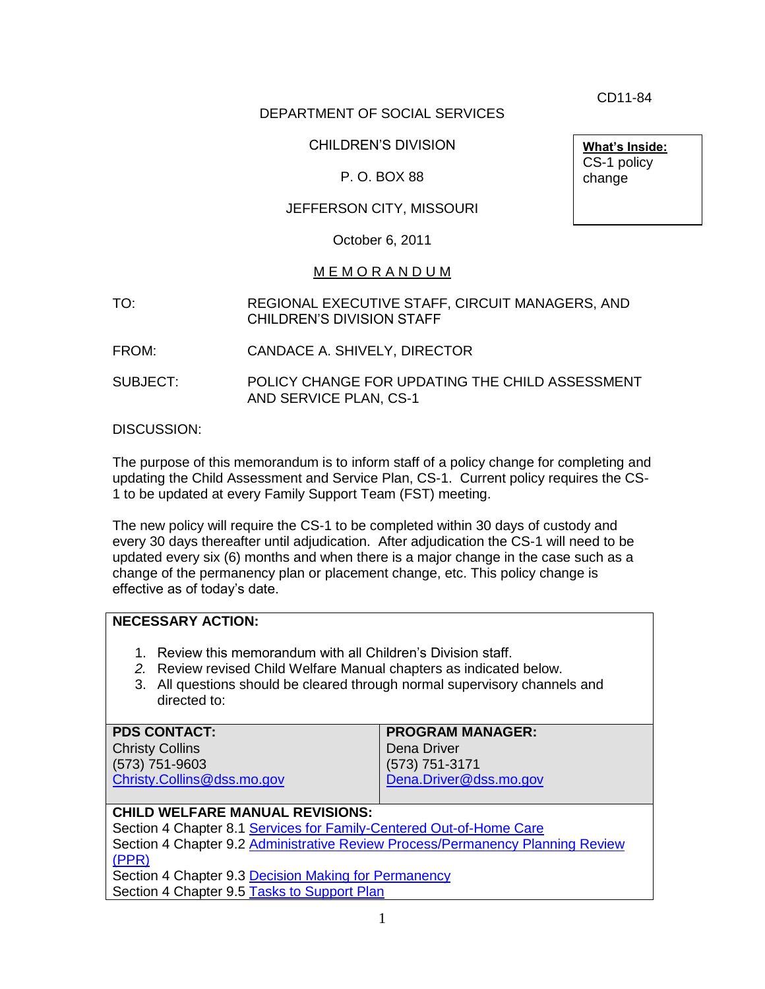CD11-84

**What's Inside:** CS-1 policy change

## DEPARTMENT OF SOCIAL SERVICES

## CHILDREN'S DIVISION

## P. O. BOX 88

## JEFFERSON CITY, MISSOURI

October 6, 2011

#### M E M O R A N D U M

- TO: REGIONAL EXECUTIVE STAFF, CIRCUIT MANAGERS, AND CHILDREN'S DIVISION STAFF
- FROM: CANDACE A. SHIVELY, DIRECTOR
- SUBJECT: POLICY CHANGE FOR UPDATING THE CHILD ASSESSMENT AND SERVICE PLAN, CS-1

DISCUSSION:

The purpose of this memorandum is to inform staff of a policy change for completing and updating the Child Assessment and Service Plan, CS-1. Current policy requires the CS-1 to be updated at every Family Support Team (FST) meeting.

The new policy will require the CS-1 to be completed within 30 days of custody and every 30 days thereafter until adjudication. After adjudication the CS-1 will need to be updated every six (6) months and when there is a major change in the case such as a change of the permanency plan or placement change, etc. This policy change is effective as of today's date.

## **NECESSARY ACTION:**

- 1. Review this memorandum with all Children's Division staff.
- *2.* Review revised Child Welfare Manual chapters as indicated below.
- 3. All questions should be cleared through normal supervisory channels and directed to:

| <b>PDS CONTACT:</b>               | <b>PROGRAM MANAGER:</b> |
|-----------------------------------|-------------------------|
| <b>Christy Collins</b>            | Dena Driver             |
| $(573) 751 - 9603$                | (573) 751-3171          |
| Christy.Collins@dss.mo.gov        | Dena.Driver@dss.mo.gov  |
|                                   |                         |
| CHILD MIELEADE MANUIAL DEVICIONS. |                         |

### **CHILD WELFARE MANUAL REVISIONS:**

Section 4 Chapter 8.1 [Services for Family-Centered Out-of-Home Care](http://dss.mo.gov/cd/info/cwmanual/section4/ch8/sec4ch8sub1.htm) Section 4 Chapter 9.2 [Administrative Review Process/Permanency Planning Review](http://dss.mo.gov/cd/info/cwmanual/section4/ch9/sec4ch9sub2.htm)  [\(PPR\)](http://dss.mo.gov/cd/info/cwmanual/section4/ch9/sec4ch9sub2.htm) Section 4 Chapter 9.3 [Decision Making for Permanency](http://dss.mo.gov/cd/info/cwmanual/section4/ch9/sec4ch9sub3.htm)

Section 4 Chapter 9.5 [Tasks to Support Plan](http://dss.mo.gov/cd/info/cwmanual/section4/ch9/sec4ch9sub5.htm)